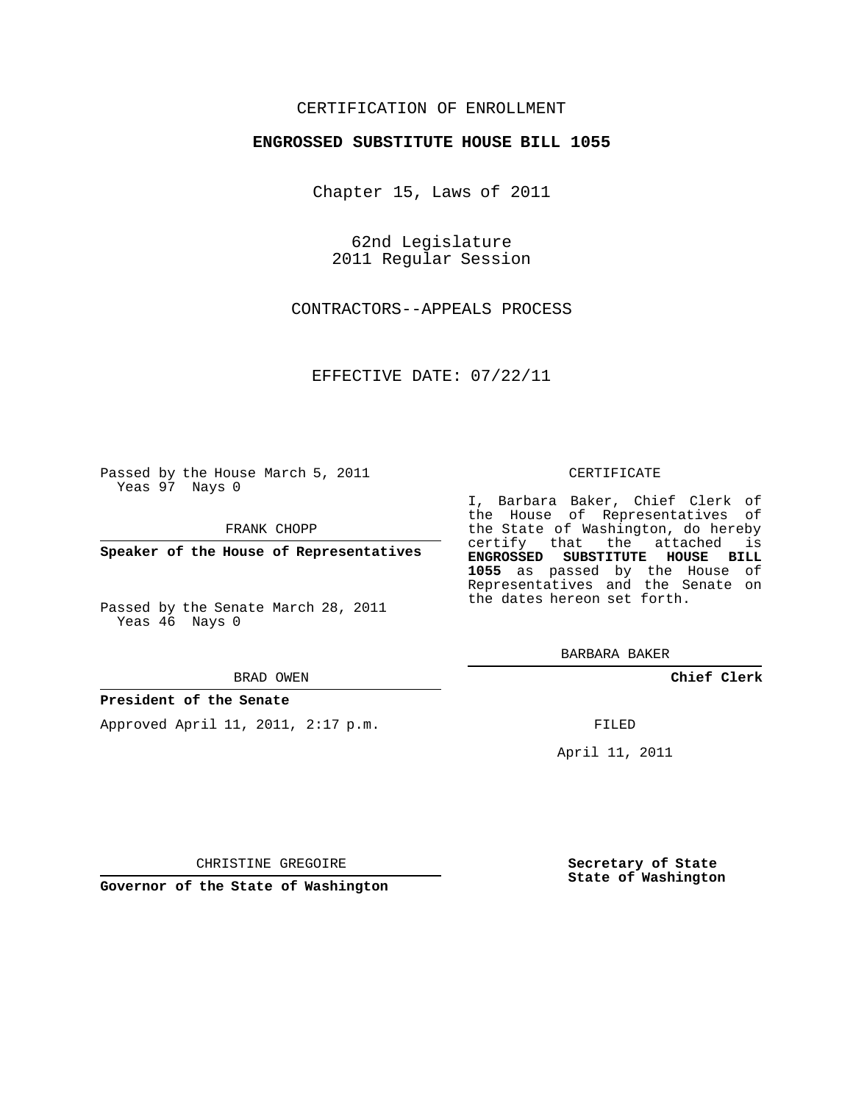### CERTIFICATION OF ENROLLMENT

### **ENGROSSED SUBSTITUTE HOUSE BILL 1055**

Chapter 15, Laws of 2011

62nd Legislature 2011 Regular Session

CONTRACTORS--APPEALS PROCESS

EFFECTIVE DATE: 07/22/11

Passed by the House March 5, 2011 Yeas 97 Nays 0

FRANK CHOPP

**Speaker of the House of Representatives**

Passed by the Senate March 28, 2011 Yeas 46 Nays 0

#### BRAD OWEN

#### **President of the Senate**

Approved April 11, 2011, 2:17 p.m.

#### CERTIFICATE

I, Barbara Baker, Chief Clerk of the House of Representatives of the State of Washington, do hereby certify that the attached is **ENGROSSED SUBSTITUTE HOUSE BILL 1055** as passed by the House of Representatives and the Senate on the dates hereon set forth.

BARBARA BAKER

**Chief Clerk**

FILED

April 11, 2011

CHRISTINE GREGOIRE

**Governor of the State of Washington**

**Secretary of State State of Washington**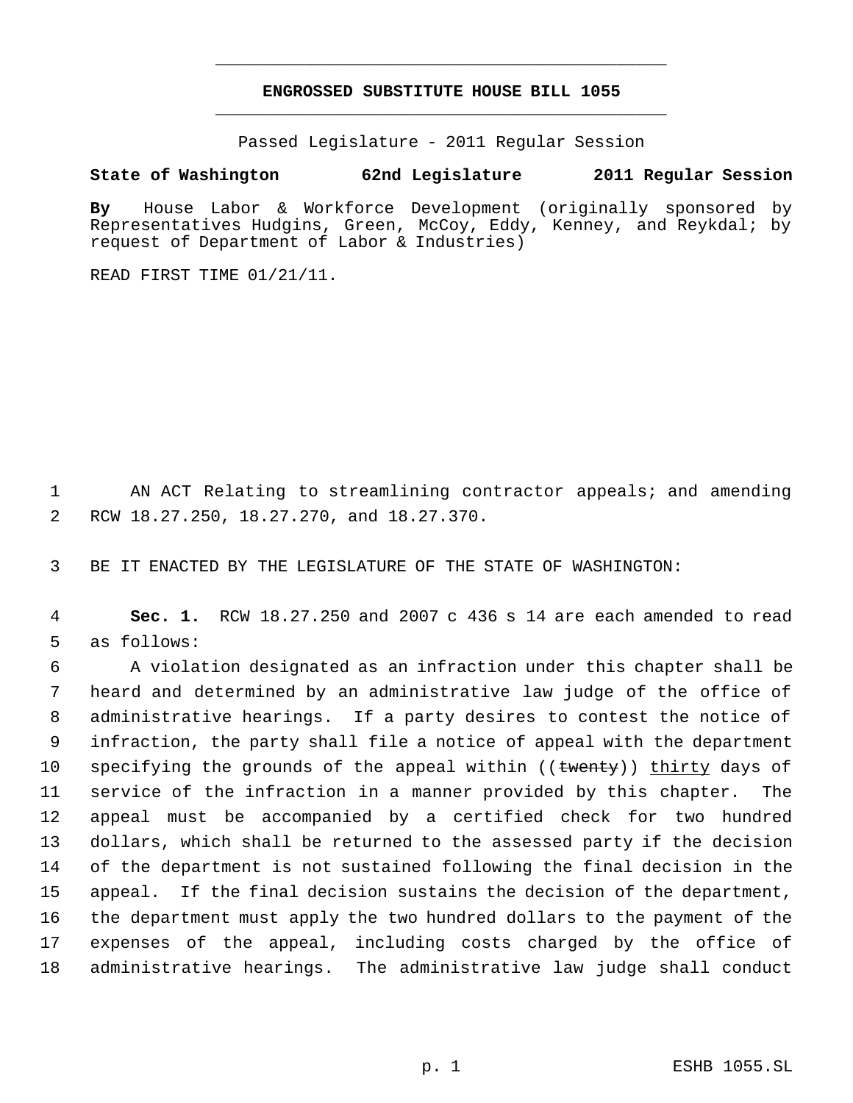# **ENGROSSED SUBSTITUTE HOUSE BILL 1055** \_\_\_\_\_\_\_\_\_\_\_\_\_\_\_\_\_\_\_\_\_\_\_\_\_\_\_\_\_\_\_\_\_\_\_\_\_\_\_\_\_\_\_\_\_

\_\_\_\_\_\_\_\_\_\_\_\_\_\_\_\_\_\_\_\_\_\_\_\_\_\_\_\_\_\_\_\_\_\_\_\_\_\_\_\_\_\_\_\_\_

Passed Legislature - 2011 Regular Session

## **State of Washington 62nd Legislature 2011 Regular Session**

**By** House Labor & Workforce Development (originally sponsored by Representatives Hudgins, Green, McCoy, Eddy, Kenney, and Reykdal; by request of Department of Labor & Industries)

READ FIRST TIME 01/21/11.

 AN ACT Relating to streamlining contractor appeals; and amending RCW 18.27.250, 18.27.270, and 18.27.370.

BE IT ENACTED BY THE LEGISLATURE OF THE STATE OF WASHINGTON:

 **Sec. 1.** RCW 18.27.250 and 2007 c 436 s 14 are each amended to read as follows:

 A violation designated as an infraction under this chapter shall be heard and determined by an administrative law judge of the office of administrative hearings. If a party desires to contest the notice of infraction, the party shall file a notice of appeal with the department 10 specifying the grounds of the appeal within ((twenty)) thirty days of service of the infraction in a manner provided by this chapter. The appeal must be accompanied by a certified check for two hundred dollars, which shall be returned to the assessed party if the decision of the department is not sustained following the final decision in the appeal. If the final decision sustains the decision of the department, the department must apply the two hundred dollars to the payment of the expenses of the appeal, including costs charged by the office of administrative hearings. The administrative law judge shall conduct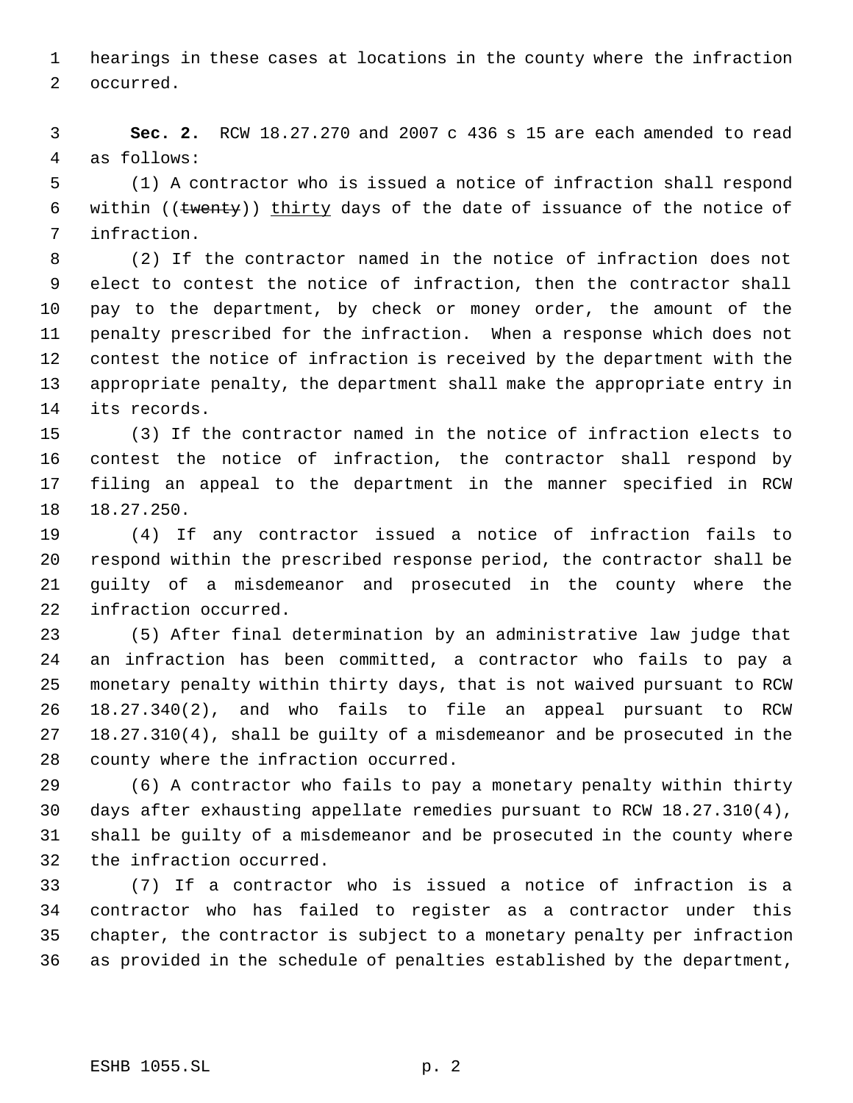hearings in these cases at locations in the county where the infraction occurred.

 **Sec. 2.** RCW 18.27.270 and 2007 c 436 s 15 are each amended to read as follows:

 (1) A contractor who is issued a notice of infraction shall respond 6 within  $((\text{fewenty}))$  thirty days of the date of issuance of the notice of infraction.

 (2) If the contractor named in the notice of infraction does not elect to contest the notice of infraction, then the contractor shall pay to the department, by check or money order, the amount of the penalty prescribed for the infraction. When a response which does not contest the notice of infraction is received by the department with the appropriate penalty, the department shall make the appropriate entry in its records.

 (3) If the contractor named in the notice of infraction elects to contest the notice of infraction, the contractor shall respond by filing an appeal to the department in the manner specified in RCW 18.27.250.

 (4) If any contractor issued a notice of infraction fails to respond within the prescribed response period, the contractor shall be guilty of a misdemeanor and prosecuted in the county where the infraction occurred.

 (5) After final determination by an administrative law judge that an infraction has been committed, a contractor who fails to pay a monetary penalty within thirty days, that is not waived pursuant to RCW 18.27.340(2), and who fails to file an appeal pursuant to RCW 18.27.310(4), shall be guilty of a misdemeanor and be prosecuted in the county where the infraction occurred.

 (6) A contractor who fails to pay a monetary penalty within thirty days after exhausting appellate remedies pursuant to RCW 18.27.310(4), shall be guilty of a misdemeanor and be prosecuted in the county where the infraction occurred.

 (7) If a contractor who is issued a notice of infraction is a contractor who has failed to register as a contractor under this chapter, the contractor is subject to a monetary penalty per infraction as provided in the schedule of penalties established by the department,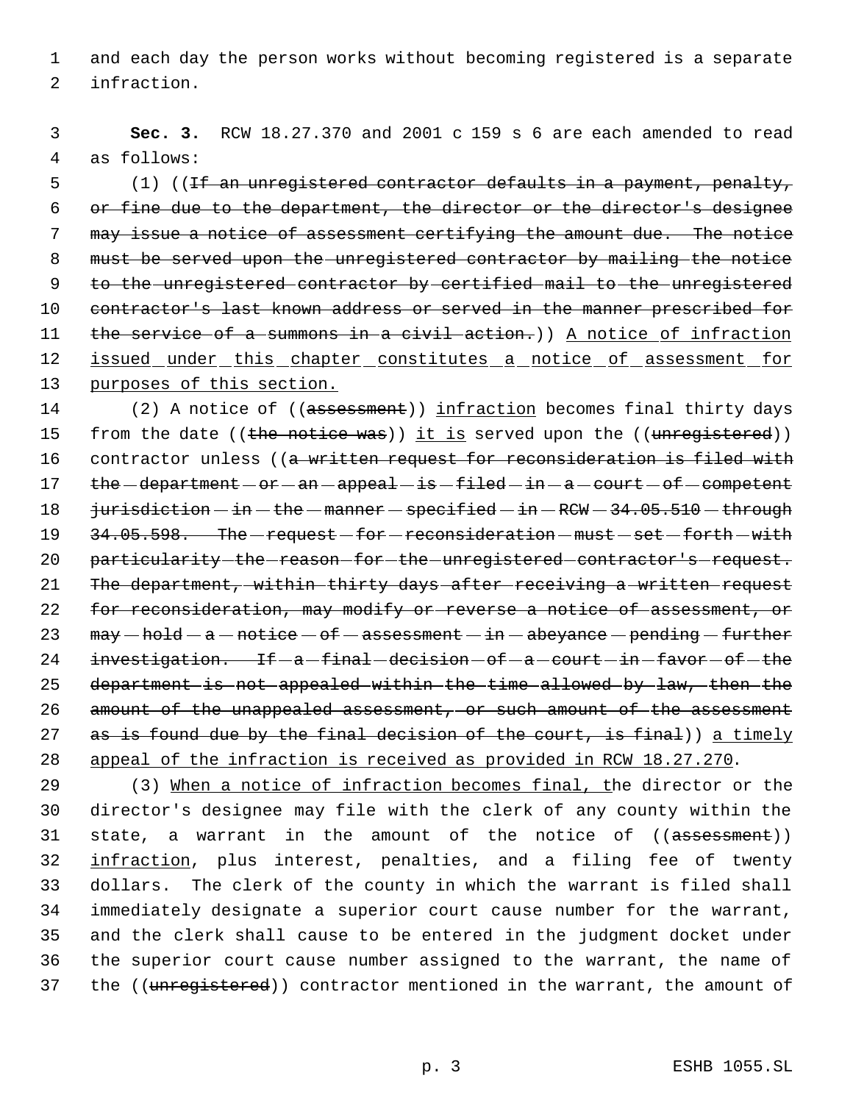1 and each day the person works without becoming registered is a separate 2 infraction.

 3 **Sec. 3.** RCW 18.27.370 and 2001 c 159 s 6 are each amended to read 4 as follows:

5 (1) ((If an unregistered contractor defaults in a payment, penalty, 6 or fine due to the department, the director or the director's designee 7 may issue a notice of assessment certifying the amount due. The notice 8 must be served upon the unregistered contractor by mailing the notice 9 to the unregistered contractor by certified mail to the unregistered 10 contractor's last known address or served in the manner prescribed for 11 the service of a summons in a civil action.) A notice of infraction 12 issued under this chapter constitutes a notice of assessment for 13 purposes of this section.

14 (2) A notice of ((assessment)) infraction becomes final thirty days 15 from the date ((the notice was)) it is served upon the ((unregistered)) 16 contractor unless ((a written request for reconsideration is filed with 17 the -department - or - an - appeal - is -filed - in - a - court - of - competent 18 jurisdiction - in - the - manner - specified - in - RCW - 34.05.510 - through 19 34.05.598. The - request - for - reconsideration - must - set - forth - with 20 particularity-the-reason-for-the-unregistered-contractor's-request. 21 The department, within thirty days after receiving a written request 22 for reconsideration, may modify or reverse a notice of assessment, or 23  $\text{may}-\text{hold}-a-\text{notice}-6f-\text{assertment}-in-\text{absyance}-\text{pending}-\text{further}$  $24$  investigation. If  $-a$  -final -decision  $-of-a$  -court -in -favor -of -the 25 department is not appealed within the time allowed by law, then the 26 amount of the unappealed assessment, or such amount of the assessment 27 as is found due by the final decision of the court, is final)) a timely 28 appeal of the infraction is received as provided in RCW 18.27.270.

 (3) When a notice of infraction becomes final, the director or the director's designee may file with the clerk of any county within the 31 state, a warrant in the amount of the notice of ((assessment)) 32 infraction, plus interest, penalties, and a filing fee of twenty dollars. The clerk of the county in which the warrant is filed shall immediately designate a superior court cause number for the warrant, and the clerk shall cause to be entered in the judgment docket under the superior court cause number assigned to the warrant, the name of 37 the ((unregistered)) contractor mentioned in the warrant, the amount of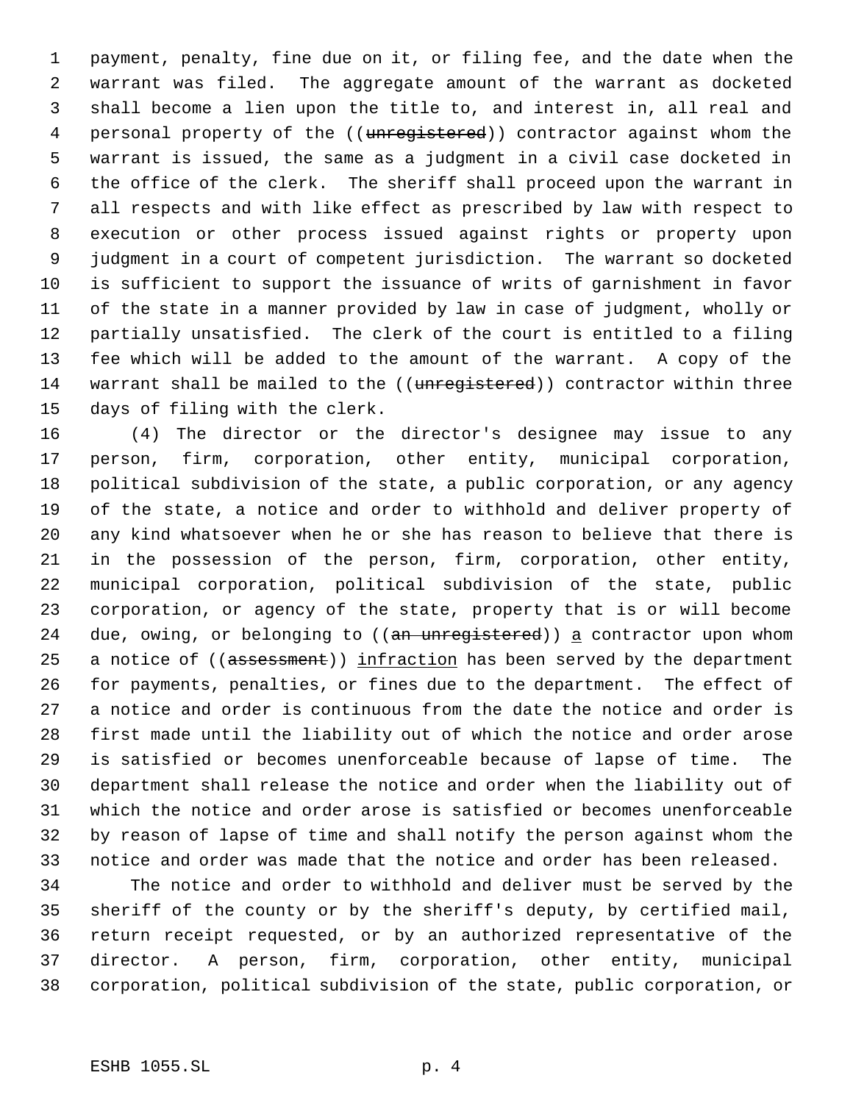payment, penalty, fine due on it, or filing fee, and the date when the warrant was filed. The aggregate amount of the warrant as docketed shall become a lien upon the title to, and interest in, all real and 4 personal property of the ((unregistered)) contractor against whom the warrant is issued, the same as a judgment in a civil case docketed in the office of the clerk. The sheriff shall proceed upon the warrant in all respects and with like effect as prescribed by law with respect to execution or other process issued against rights or property upon judgment in a court of competent jurisdiction. The warrant so docketed is sufficient to support the issuance of writs of garnishment in favor of the state in a manner provided by law in case of judgment, wholly or partially unsatisfied. The clerk of the court is entitled to a filing fee which will be added to the amount of the warrant. A copy of the 14 warrant shall be mailed to the ((unregistered)) contractor within three days of filing with the clerk.

 (4) The director or the director's designee may issue to any person, firm, corporation, other entity, municipal corporation, political subdivision of the state, a public corporation, or any agency of the state, a notice and order to withhold and deliver property of any kind whatsoever when he or she has reason to believe that there is in the possession of the person, firm, corporation, other entity, municipal corporation, political subdivision of the state, public corporation, or agency of the state, property that is or will become 24 due, owing, or belonging to ((an unregistered)) a contractor upon whom 25 a notice of ((assessment)) infraction has been served by the department for payments, penalties, or fines due to the department. The effect of a notice and order is continuous from the date the notice and order is first made until the liability out of which the notice and order arose is satisfied or becomes unenforceable because of lapse of time. The department shall release the notice and order when the liability out of which the notice and order arose is satisfied or becomes unenforceable by reason of lapse of time and shall notify the person against whom the notice and order was made that the notice and order has been released.

 The notice and order to withhold and deliver must be served by the sheriff of the county or by the sheriff's deputy, by certified mail, return receipt requested, or by an authorized representative of the director. A person, firm, corporation, other entity, municipal corporation, political subdivision of the state, public corporation, or